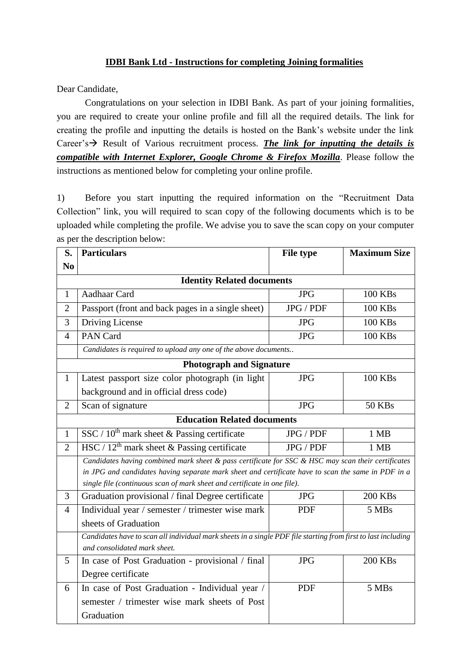## **IDBI Bank Ltd - Instructions for completing Joining formalities**

Dear Candidate,

Congratulations on your selection in IDBI Bank. As part of your joining formalities, you are required to create your online profile and fill all the required details. The link for creating the profile and inputting the details is hosted on the Bank's website under the link Career's  $\rightarrow$  Result of Various recruitment process. *The link for inputting the details is compatible with Internet Explorer, Google Chrome & Firefox Mozilla*. Please follow the instructions as mentioned below for completing your online profile.

1) Before you start inputting the required information on the "Recruitment Data Collection" link, you will required to scan copy of the following documents which is to be uploaded while completing the profile. We advise you to save the scan copy on your computer as per the description below:

| S.                                 | <b>Particulars</b>                                                                                                                            | <b>File type</b> | <b>Maximum Size</b> |  |
|------------------------------------|-----------------------------------------------------------------------------------------------------------------------------------------------|------------------|---------------------|--|
| N <sub>0</sub>                     |                                                                                                                                               |                  |                     |  |
| <b>Identity Related documents</b>  |                                                                                                                                               |                  |                     |  |
| 1                                  | Aadhaar Card                                                                                                                                  | <b>JPG</b>       | <b>100 KBs</b>      |  |
| $\overline{2}$                     | Passport (front and back pages in a single sheet)                                                                                             | JPG / PDF        | <b>100 KBs</b>      |  |
| 3                                  | Driving License                                                                                                                               | <b>JPG</b>       | <b>100 KBs</b>      |  |
| $\overline{4}$                     | PAN Card                                                                                                                                      | <b>JPG</b>       | <b>100 KBs</b>      |  |
|                                    | Candidates is required to upload any one of the above documents                                                                               |                  |                     |  |
| <b>Photograph and Signature</b>    |                                                                                                                                               |                  |                     |  |
| $\mathbf{1}$                       | Latest passport size color photograph (in light                                                                                               | <b>JPG</b>       | <b>100 KBs</b>      |  |
|                                    | background and in official dress code)                                                                                                        |                  |                     |  |
| $\overline{2}$                     | Scan of signature                                                                                                                             | <b>JPG</b>       | <b>50 KBs</b>       |  |
| <b>Education Related documents</b> |                                                                                                                                               |                  |                     |  |
| $\mathbf{1}$                       | SSC / $10^{th}$ mark sheet & Passing certificate                                                                                              | JPG / PDF        | 1 MB                |  |
| $\overline{2}$                     | HSC / $12th$ mark sheet & Passing certificate                                                                                                 | JPG / PDF        | 1 MB                |  |
|                                    | Candidates having combined mark sheet & pass certificate for SSC & HSC may scan their certificates                                            |                  |                     |  |
|                                    | in JPG and candidates having separate mark sheet and certificate have to scan the same in PDF in a                                            |                  |                     |  |
| 3                                  | single file (continuous scan of mark sheet and certificate in one file).<br>Graduation provisional / final Degree certificate                 | <b>JPG</b>       | <b>200 KBs</b>      |  |
|                                    |                                                                                                                                               | <b>PDF</b>       |                     |  |
| $\overline{4}$                     | Individual year / semester / trimester wise mark                                                                                              |                  | 5 MBs               |  |
|                                    | sheets of Graduation                                                                                                                          |                  |                     |  |
|                                    | Candidates have to scan all individual mark sheets in a single PDF file starting from first to last including<br>and consolidated mark sheet. |                  |                     |  |
| 5                                  | In case of Post Graduation - provisional / final                                                                                              | <b>JPG</b>       | <b>200 KBs</b>      |  |
|                                    | Degree certificate                                                                                                                            |                  |                     |  |
| 6                                  | In case of Post Graduation - Individual year /                                                                                                | <b>PDF</b>       | 5 MBs               |  |
|                                    | semester / trimester wise mark sheets of Post                                                                                                 |                  |                     |  |
|                                    | Graduation                                                                                                                                    |                  |                     |  |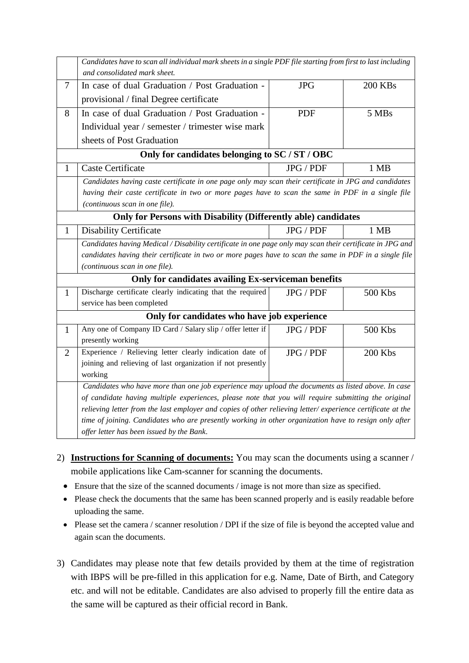|                                                                       | Candidates have to scan all individual mark sheets in a single PDF file starting from first to last including<br>and consolidated mark sheet.                                                                                                                                         |                  |                |  |
|-----------------------------------------------------------------------|---------------------------------------------------------------------------------------------------------------------------------------------------------------------------------------------------------------------------------------------------------------------------------------|------------------|----------------|--|
| 7                                                                     | In case of dual Graduation / Post Graduation -                                                                                                                                                                                                                                        | <b>JPG</b>       | <b>200 KBs</b> |  |
|                                                                       | provisional / final Degree certificate                                                                                                                                                                                                                                                |                  |                |  |
| 8                                                                     | In case of dual Graduation / Post Graduation -                                                                                                                                                                                                                                        | <b>PDF</b>       | 5 MBs          |  |
|                                                                       | Individual year / semester / trimester wise mark                                                                                                                                                                                                                                      |                  |                |  |
|                                                                       | sheets of Post Graduation                                                                                                                                                                                                                                                             |                  |                |  |
| Only for candidates belonging to SC / ST / OBC                        |                                                                                                                                                                                                                                                                                       |                  |                |  |
| 1                                                                     | <b>Caste Certificate</b>                                                                                                                                                                                                                                                              | <b>JPG / PDF</b> | 1 MB           |  |
|                                                                       | Candidates having caste certificate in one page only may scan their certificate in JPG and candidates                                                                                                                                                                                 |                  |                |  |
|                                                                       | having their caste certificate in two or more pages have to scan the same in PDF in a single file                                                                                                                                                                                     |                  |                |  |
|                                                                       | (continuous scan in one file).                                                                                                                                                                                                                                                        |                  |                |  |
| <b>Only for Persons with Disability (Differently able) candidates</b> |                                                                                                                                                                                                                                                                                       |                  |                |  |
| $\mathbf{1}$                                                          | <b>Disability Certificate</b>                                                                                                                                                                                                                                                         | JPG / PDF        | 1 MB           |  |
|                                                                       | Candidates having Medical / Disability certificate in one page only may scan their certificate in JPG and                                                                                                                                                                             |                  |                |  |
|                                                                       | candidates having their certificate in two or more pages have to scan the same in PDF in a single file                                                                                                                                                                                |                  |                |  |
|                                                                       | (continuous scan in one file).                                                                                                                                                                                                                                                        |                  |                |  |
| Only for candidates availing Ex-serviceman benefits                   |                                                                                                                                                                                                                                                                                       |                  |                |  |
| $\mathbf{1}$                                                          | Discharge certificate clearly indicating that the required                                                                                                                                                                                                                            | JPG / PDF        | 500 Kbs        |  |
|                                                                       | service has been completed                                                                                                                                                                                                                                                            |                  |                |  |
| Only for candidates who have job experience                           |                                                                                                                                                                                                                                                                                       |                  |                |  |
| $\mathbf{1}$                                                          | Any one of Company ID Card / Salary slip / offer letter if                                                                                                                                                                                                                            | JPG / PDF        | 500 Kbs        |  |
|                                                                       | presently working                                                                                                                                                                                                                                                                     |                  |                |  |
| $\overline{2}$                                                        | Experience / Relieving letter clearly indication date of                                                                                                                                                                                                                              | JPG / PDF        | <b>200 Kbs</b> |  |
|                                                                       |                                                                                                                                                                                                                                                                                       |                  |                |  |
|                                                                       |                                                                                                                                                                                                                                                                                       |                  |                |  |
|                                                                       |                                                                                                                                                                                                                                                                                       |                  |                |  |
|                                                                       | of candidate having multiple experiences, please note that you will require submitting the original                                                                                                                                                                                   |                  |                |  |
|                                                                       | relieving letter from the last employer and copies of other relieving letter/ experience certificate at the                                                                                                                                                                           |                  |                |  |
|                                                                       |                                                                                                                                                                                                                                                                                       |                  |                |  |
|                                                                       | joining and relieving of last organization if not presently<br>working<br>Candidates who have more than one job experience may upload the documents as listed above. In case<br>time of joining. Candidates who are presently working in other organization have to resign only after |                  |                |  |

- 2) **Instructions for Scanning of documents:** You may scan the documents using a scanner / mobile applications like Cam-scanner for scanning the documents.
	- Ensure that the size of the scanned documents / image is not more than size as specified.
	- Please check the documents that the same has been scanned properly and is easily readable before uploading the same.
	- Please set the camera / scanner resolution / DPI if the size of file is beyond the accepted value and again scan the documents.
- 3) Candidates may please note that few details provided by them at the time of registration with IBPS will be pre-filled in this application for e.g. Name, Date of Birth, and Category etc. and will not be editable. Candidates are also advised to properly fill the entire data as the same will be captured as their official record in Bank.